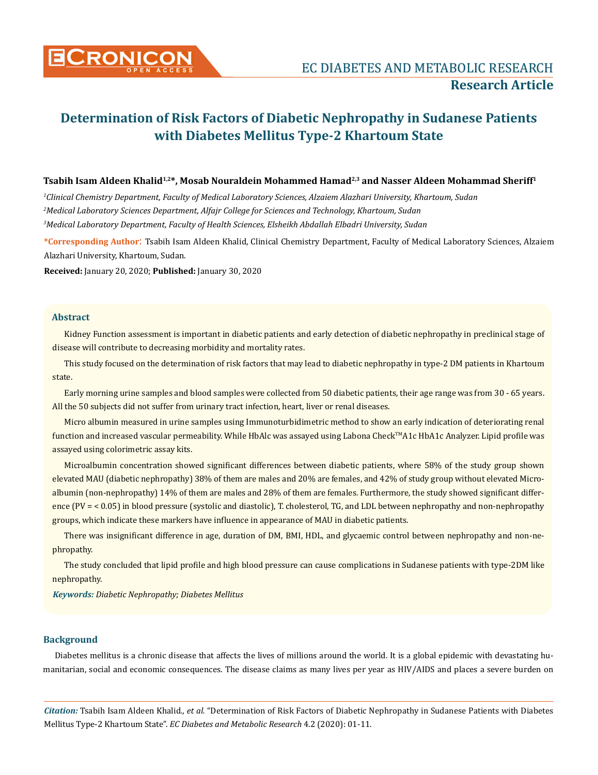

# Tsabih Isam Aldeen Khalid<sup>1,2\*</sup>, Mosab Nouraldein Mohammed Hamad<sup>2,3</sup> and Nasser Aldeen Mohammad Sheriff<sup>1</sup>

*1 Clinical Chemistry Department, Faculty of Medical Laboratory Sciences, Alzaiem Alazhari University, Khartoum, Sudan 2 Medical Laboratory Sciences Department, Alfajr College for Sciences and Technology, Khartoum, Sudan 3 Medical Laboratory Department, Faculty of Health Sciences, Elsheikh Abdallah Elbadri University, Sudan*

**\*Corresponding Author**: Tsabih Isam Aldeen Khalid, Clinical Chemistry Department, Faculty of Medical Laboratory Sciences, Alzaiem Alazhari University, Khartoum, Sudan.

**Received:** January 20, 2020; **Published:** January 30, 2020

# **Abstract**

Kidney Function assessment is important in diabetic patients and early detection of diabetic nephropathy in preclinical stage of disease will contribute to decreasing morbidity and mortality rates.

This study focused on the determination of risk factors that may lead to diabetic nephropathy in type-2 DM patients in Khartoum state.

Early morning urine samples and blood samples were collected from 50 diabetic patients, their age range was from 30 - 65 years. All the 50 subjects did not suffer from urinary tract infection, heart, liver or renal diseases.

Micro albumin measured in urine samples using Immunoturbidimetric method to show an early indication of deteriorating renal function and increased vascular permeability. While HbAlc was assayed using Labona CheckTMA1c HbA1c Analyzer. Lipid profile was assayed using colorimetric assay kits.

Microalbumin concentration showed significant differences between diabetic patients, where 58% of the study group shown elevated MAU (diabetic nephropathy) 38% of them are males and 20% are females, and 42% of study group without elevated Microalbumin (non-nephropathy) 14% of them are males and 28% of them are females. Furthermore, the study showed significant difference (PV = < 0.05) in blood pressure (systolic and diastolic), T. cholesterol, TG, and LDL between nephropathy and non-nephropathy groups, which indicate these markers have influence in appearance of MAU in diabetic patients.

There was insignificant difference in age, duration of DM, BMI, HDL, and glycaemic control between nephropathy and non-nephropathy.

The study concluded that lipid profile and high blood pressure can cause complications in Sudanese patients with type-2DM like nephropathy.

*Keywords: Diabetic Nephropathy; Diabetes Mellitus*

# **Background**

Diabetes mellitus is a chronic disease that affects the lives of millions around the world. It is a global epidemic with devastating humanitarian, social and economic consequences. The disease claims as many lives per year as HIV/AIDS and places a severe burden on

*Citation:* Tsabih Isam Aldeen Khalid*., et al.* "Determination of Risk Factors of Diabetic Nephropathy in Sudanese Patients with Diabetes Mellitus Type-2 Khartoum State". *EC Diabetes and Metabolic Research* 4.2 (2020): 01-11.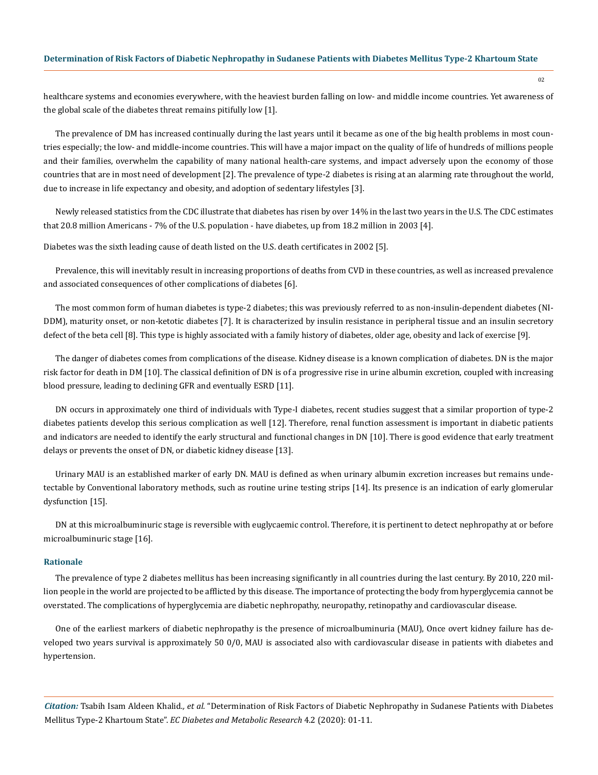healthcare systems and economies everywhere, with the heaviest burden falling on low- and middle income countries. Yet awareness of the global scale of the diabetes threat remains pitifully low [1].

The prevalence of DM has increased continually during the last years until it became as one of the big health problems in most countries especially; the low- and middle-income countries. This will have a major impact on the quality of life of hundreds of millions people and their families, overwhelm the capability of many national health-care systems, and impact adversely upon the economy of those countries that are in most need of development [2]. The prevalence of type-2 diabetes is rising at an alarming rate throughout the world, due to increase in life expectancy and obesity, and adoption of sedentary lifestyles [3].

Newly released statistics from the CDC illustrate that diabetes has risen by over 14% in the last two years in the U.S. The CDC estimates that 20.8 million Americans - 7% of the U.S. population - have diabetes, up from 18.2 million in 2003 [4].

Diabetes was the sixth leading cause of death listed on the U.S. death certificates in 2002 [5].

Prevalence, this will inevitably result in increasing proportions of deaths from CVD in these countries, as well as increased prevalence and associated consequences of other complications of diabetes [6].

The most common form of human diabetes is type-2 diabetes; this was previously referred to as non-insulin-dependent diabetes (NI-DDM), maturity onset, or non-ketotic diabetes [7]. It is characterized by insulin resistance in peripheral tissue and an insulin secretory defect of the beta cell [8]. This type is highly associated with a family history of diabetes, older age, obesity and lack of exercise [9].

The danger of diabetes comes from complications of the disease. Kidney disease is a known complication of diabetes. DN is the major risk factor for death in DM [10]. The classical definition of DN is of a progressive rise in urine albumin excretion, coupled with increasing blood pressure, leading to declining GFR and eventually ESRD [11].

DN occurs in approximately one third of individuals with Type-I diabetes, recent studies suggest that a similar proportion of type-2 diabetes patients develop this serious complication as well [12]. Therefore, renal function assessment is important in diabetic patients and indicators are needed to identify the early structural and functional changes in DN [10]. There is good evidence that early treatment delays or prevents the onset of DN, or diabetic kidney disease [13].

Urinary MAU is an established marker of early DN. MAU is defined as when urinary albumin excretion increases but remains undetectable by Conventional laboratory methods, such as routine urine testing strips [14]. Its presence is an indication of early glomerular dysfunction [15].

DN at this microalbuminuric stage is reversible with euglycaemic control. Therefore, it is pertinent to detect nephropathy at or before microalbuminuric stage [16].

# **Rationale**

The prevalence of type 2 diabetes mellitus has been increasing significantly in all countries during the last century. By 2010, 220 million people in the world are projected to be afflicted by this disease. The importance of protecting the body from hyperglycemia cannot be overstated. The complications of hyperglycemia are diabetic nephropathy, neuropathy, retinopathy and cardiovascular disease.

One of the earliest markers of diabetic nephropathy is the presence of microalbuminuria (MAU), Once overt kidney failure has developed two years survival is approximately 50 0/0, MAU is associated also with cardiovascular disease in patients with diabetes and hypertension.

*Citation:* Tsabih Isam Aldeen Khalid*., et al.* "Determination of Risk Factors of Diabetic Nephropathy in Sudanese Patients with Diabetes Mellitus Type-2 Khartoum State". *EC Diabetes and Metabolic Research* 4.2 (2020): 01-11.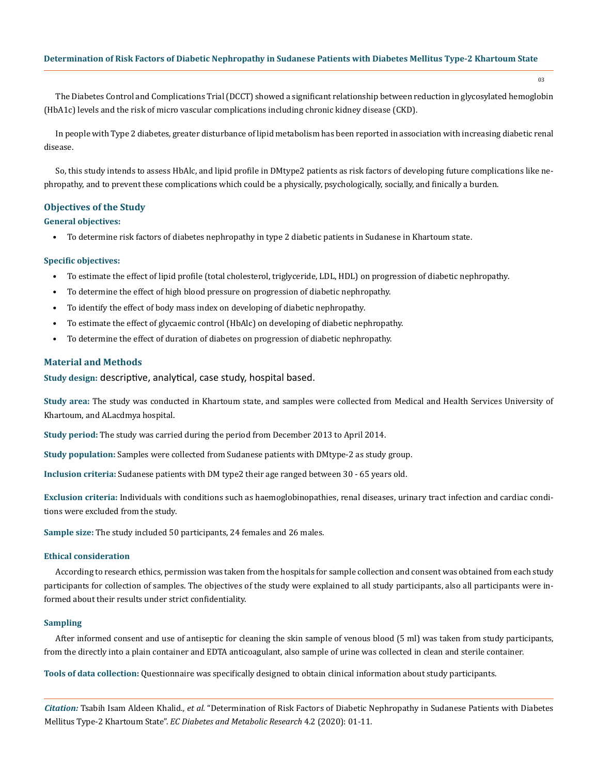The Diabetes Control and Complications Trial (DCCT) showed a significant relationship between reduction in glycosylated hemoglobin (HbA1c) levels and the risk of micro vascular complications including chronic kidney disease (CKD).

In people with Type 2 diabetes, greater disturbance of lipid metabolism has been reported in association with increasing diabetic renal disease.

So, this study intends to assess HbAlc, and lipid profile in DMtype2 patients as risk factors of developing future complications like nephropathy, and to prevent these complications which could be a physically, psychologically, socially, and finically a burden.

# **Objectives of the Study**

#### **General objectives:**

• To determine risk factors of diabetes nephropathy in type 2 diabetic patients in Sudanese in Khartoum state.

#### **Specific objectives:**

- To estimate the effect of lipid profile (total cholesterol, triglyceride, LDL, HDL) on progression of diabetic nephropathy.
- To determine the effect of high blood pressure on progression of diabetic nephropathy.
- To identify the effect of body mass index on developing of diabetic nephropathy.
- To estimate the effect of glycaemic control (HbAlc) on developing of diabetic nephropathy.
- To determine the effect of duration of diabetes on progression of diabetic nephropathy.

# **Material and Methods**

**Study design:** descriptive, analytical, case study, hospital based.

**Study area:** The study was conducted in Khartoum state, and samples were collected from Medical and Health Services University of Khartoum, and ALacdmya hospital.

**Study period:** The study was carried during the period from December 2013 to April 2014.

**Study population:** Samples were collected from Sudanese patients with DMtype-2 as study group.

**Inclusion criteria:** Sudanese patients with DM type2 their age ranged between 30 - 65 years old.

**Exclusion criteria:** Individuals with conditions such as haemoglobinopathies, renal diseases, urinary tract infection and cardiac conditions were excluded from the study.

**Sample size:** The study included 50 participants, 24 females and 26 males.

# **Ethical consideration**

According to research ethics, permission was taken from the hospitals for sample collection and consent was obtained from each study participants for collection of samples. The objectives of the study were explained to all study participants, also all participants were informed about their results under strict confidentiality.

# **Sampling**

After informed consent and use of antiseptic for cleaning the skin sample of venous blood (5 ml) was taken from study participants, from the directly into a plain container and EDTA anticoagulant, also sample of urine was collected in clean and sterile container.

**Tools of data collection:** Questionnaire was specifically designed to obtain clinical information about study participants.

*Citation:* Tsabih Isam Aldeen Khalid*., et al.* "Determination of Risk Factors of Diabetic Nephropathy in Sudanese Patients with Diabetes Mellitus Type-2 Khartoum State". *EC Diabetes and Metabolic Research* 4.2 (2020): 01-11.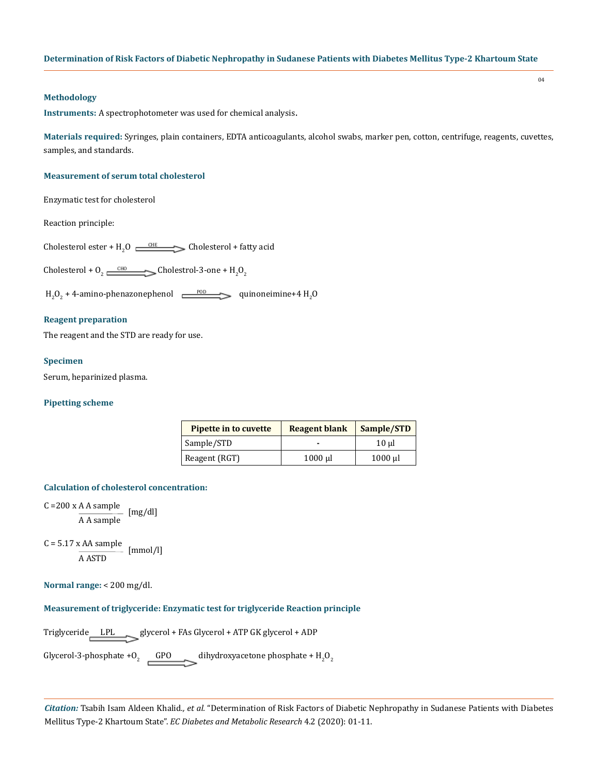# **Methodology**

**Instruments:** A spectrophotometer was used for chemical analysis.

**Materials required:** Syringes, plain containers, EDTA anticoagulants, alcohol swabs, marker pen, cotton, centrifuge, reagents, cuvettes, samples, and standards.

#### **Measurement of serum total cholesterol**

Enzymatic test for cholesterol

Reaction principle:

Cholesterol ester +  $H_2O \longrightarrow$ Cholesterol + fatty acid

Cholesterol +  $0_2 \xrightarrow{CHO}$  Cholestrol-3-one +  $H_2O_2$ 

 $\text{H}_{2}\text{O}_{2}$  + 4-amino-phenazonephenol  $\longrightarrow$  quinoneimine+4  $\text{H}_{2}\text{O}$ 

# **Reagent preparation**

The reagent and the STD are ready for use.

# **Specimen**

Serum, heparinized plasma.

# **Pipetting scheme**

| <b>Pipette in to cuvette</b> | <b>Reagent blank</b> | Sample/STD |
|------------------------------|----------------------|------------|
| Sample/STD                   |                      | 10 ul      |
| Reagent (RGT)                | $1000$ $\mu$         | 1000 µl    |

#### **Calculation of cholesterol concentration:**

C =200 x A A sample A A sample [mg/dl]

 $C = 5.17 \times AA$  sample [mmol/l] A ASTD

**Normal range:** < 200 mg/dl.

# **Measurement of triglyceride: Enzymatic test for triglyceride Reaction principle**

Triglyceride LPL glycerol + FAs Glycerol + ATP GK glycerol + ADP

Glycerol-3-phosphate +O<sub>2</sub> GPO dihydroxyacetone phosphate + H<sub>2</sub>O<sub>2</sub>

*Citation:* Tsabih Isam Aldeen Khalid*., et al.* "Determination of Risk Factors of Diabetic Nephropathy in Sudanese Patients with Diabetes Mellitus Type-2 Khartoum State". *EC Diabetes and Metabolic Research* 4.2 (2020): 01-11.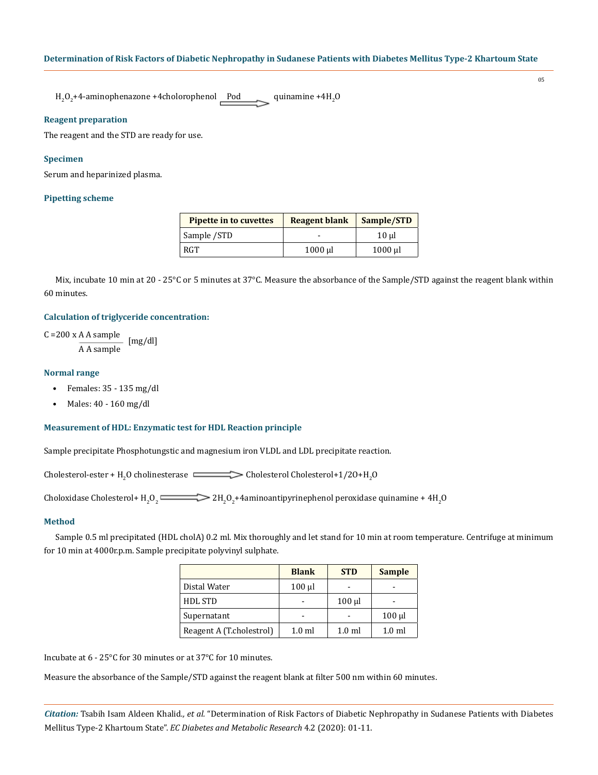$\rm H_2O_2$ +4-aminophenazone +4cholorophenol Pod quinamine +4 $\rm H_2O$ 

# **Reagent preparation**

The reagent and the STD are ready for use.

# **Specimen**

Serum and heparinized plasma.

# **Pipetting scheme**

| <b>Pipette in to cuvettes</b> | <b>Reagent blank</b> | Sample/STD              |
|-------------------------------|----------------------|-------------------------|
| Sample /STD                   | -                    | $10 \mu$                |
| <b>RGT</b>                    | $1000 \mu$           | $1000 \,\mathrm{\upmu}$ |

Mix, incubate 10 min at 20 - 25°C or 5 minutes at 37°C. Measure the absorbance of the Sample/STD against the reagent blank within 60 minutes.

# **Calculation of triglyceride concentration:**

C =200 x A A sample A A sample [mg/dl]

# **Normal range**

- Females:  $35 135$  mg/dl
- Males: 40 160 mg/dl

#### **Measurement of HDL: Enzymatic test for HDL Reaction principle**

Sample precipitate Phosphotungstic and magnesium iron VLDL and LDL precipitate reaction.

Cholesterol-ester + H<sub>2</sub>O cholinesterase  $\cong$   $\cong$  Cholesterol Cholesterol+1/2O+H<sub>2</sub>O

Choloxidase Cholesterol+  $\rm{H_2O_2}$   $\longrightarrow$   $\rm{2H_2O_2+4}$ aminoantipyrinephenol peroxidase quinamine + 4H<sub>2</sub>O

# **Method**

Sample 0.5 ml precipitated (HDL cholA) 0.2 ml. Mix thoroughly and let stand for 10 min at room temperature. Centrifuge at minimum for 10 min at 4000r.p.m. Sample precipitate polyvinyl sulphate.

|                          | <b>Blank</b> | <b>STD</b>  | <b>Sample</b> |
|--------------------------|--------------|-------------|---------------|
| Distal Water             | $100$ $\mu$  |             |               |
| <b>HDL STD</b>           |              | $100$ $\mu$ |               |
| Supernatant              |              |             | $100$ $\mu$   |
| Reagent A (T.cholestrol) | $1.0$ ml     | $1.0$ ml    | $1.0$ ml      |

Incubate at 6 - 25°C for 30 minutes or at 37°C for 10 minutes.

Measure the absorbance of the Sample/STD against the reagent blank at filter 500 nm within 60 minutes.

*Citation:* Tsabih Isam Aldeen Khalid*., et al.* "Determination of Risk Factors of Diabetic Nephropathy in Sudanese Patients with Diabetes Mellitus Type-2 Khartoum State". *EC Diabetes and Metabolic Research* 4.2 (2020): 01-11.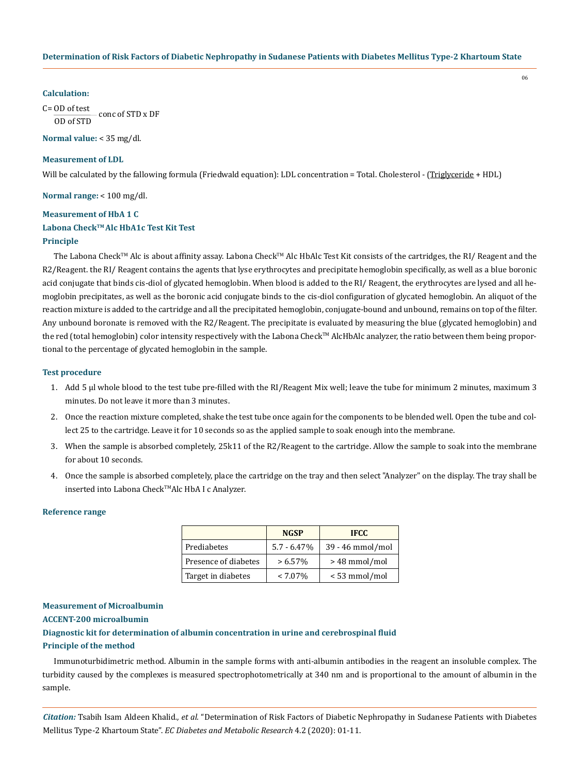#### **Calculation:**

C= OD of test OD of STD conc of STD x DF

**Normal value:** < 35 mg/dl.

#### **Measurement of LDL**

Will be calculated by the fallowing formula (Friedwald equation): LDL concentration = Total. Cholesterol - (Triglyceride + HDL)

**Normal range:** < 100 mg/dl.

# **Measurement of HbA 1 C Labona CheckTM Alc HbA1c Test Kit Test**

# **Principle**

The Labona Check™ Alc is about affinity assay. Labona Check™ Alc HbAlc Test Kit consists of the cartridges, the RI/ Reagent and the R2/Reagent. the RI/ Reagent contains the agents that lyse erythrocytes and precipitate hemoglobin specifically, as well as a blue boronic acid conjugate that binds cis-diol of glycated hemoglobin. When blood is added to the RI/ Reagent, the erythrocytes are lysed and all hemoglobin precipitates, as well as the boronic acid conjugate binds to the cis-diol configuration of glycated hemoglobin. An aliquot of the reaction mixture is added to the cartridge and all the precipitated hemoglobin, conjugate-bound and unbound, remains on top of the filter. Any unbound boronate is removed with the R2/Reagent. The precipitate is evaluated by measuring the blue (glycated hemoglobin) and the red (total hemoglobin) color intensity respectively with the Labona Check<sup>™</sup> AlcHbAlc analyzer, the ratio between them being proportional to the percentage of glycated hemoglobin in the sample.

# **Test procedure**

- 1. Add 5 µl whole blood to the test tube pre-filled with the RI/Reagent Mix well; leave the tube for minimum 2 minutes, maximum 3 minutes. Do not leave it more than 3 minutes.
- 2. Once the reaction mixture completed, shake the test tube once again for the components to be blended well. Open the tube and collect 25 to the cartridge. Leave it for 10 seconds so as the applied sample to soak enough into the membrane.
- 3. When the sample is absorbed completely, 25k11 of the R2/Reagent to the cartridge. Allow the sample to soak into the membrane for about 10 seconds.
- 4. Once the sample is absorbed completely, place the cartridge on the tray and then select "Analyzer" on the display. The tray shall be inserted into Labona Check™Alc HbA I c Analyzer.

#### **Reference range**

|                      | <b>NGSP</b>    | <b>IFCC</b>      |
|----------------------|----------------|------------------|
| Prediabetes          | $5.7 - 6.47\%$ | 39 - 46 mmol/mol |
| Presence of diabetes | $> 6.57\%$     | > 48 mmol/mol    |
| Target in diabetes   | $< 7.07\%$     | <53 mmol/mol     |

# **Measurement of Microalbumin**

#### **ACCENT-200 microalbumin**

**Diagnostic kit for determination of albumin concentration in urine and cerebrospinal fluid Principle of the method**

Immunoturbidimetric method. Albumin in the sample forms with anti-albumin antibodies in the reagent an insoluble complex. The turbidity caused by the complexes is measured spectrophotometrically at 340 nm and is proportional to the amount of albumin in the sample.

*Citation:* Tsabih Isam Aldeen Khalid*., et al.* "Determination of Risk Factors of Diabetic Nephropathy in Sudanese Patients with Diabetes Mellitus Type-2 Khartoum State". *EC Diabetes and Metabolic Research* 4.2 (2020): 01-11.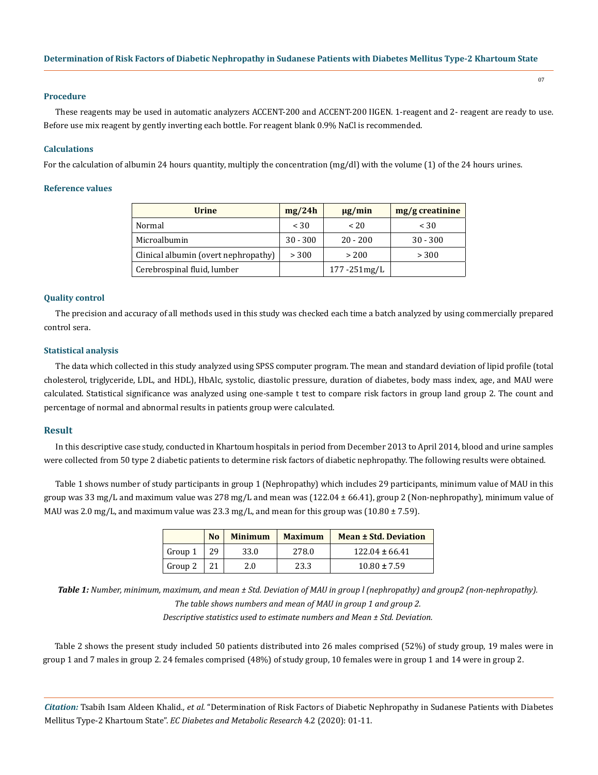#### **Procedure**

These reagents may be used in automatic analyzers ACCENT-200 and ACCENT-200 IIGEN. 1-reagent and 2- reagent are ready to use. Before use mix reagent by gently inverting each bottle. For reagent blank 0.9% NaCl is recommended.

#### **Calculations**

For the calculation of albumin 24 hours quantity, multiply the concentration (mg/dl) with the volume (1) of the 24 hours urines.

# **Reference values**

| <b>Urine</b>                         | mg/24h     | $\mu$ g/min      | $mg/g$ creatinine |
|--------------------------------------|------------|------------------|-------------------|
| Normal                               | < 30       | < 20             | < 30              |
| Microalbumin                         | $30 - 300$ | $20 - 200$       | $30 - 300$        |
| Clinical albumin (overt nephropathy) | > 300      | > 200            | > 300             |
| Cerebrospinal fluid, lumber          |            | $177 - 251$ mg/L |                   |

# **Quality control**

The precision and accuracy of all methods used in this study was checked each time a batch analyzed by using commercially prepared control sera.

#### **Statistical analysis**

The data which collected in this study analyzed using SPSS computer program. The mean and standard deviation of lipid profile (total cholesterol, triglyceride, LDL, and HDL), HbAlc, systolic, diastolic pressure, duration of diabetes, body mass index, age, and MAU were calculated. Statistical significance was analyzed using one-sample t test to compare risk factors in group land group 2. The count and percentage of normal and abnormal results in patients group were calculated.

#### **Result**

In this descriptive case study, conducted in Khartoum hospitals in period from December 2013 to April 2014, blood and urine samples were collected from 50 type 2 diabetic patients to determine risk factors of diabetic nephropathy. The following results were obtained.

Table 1 shows number of study participants in group 1 (Nephropathy) which includes 29 participants, minimum value of MAU in this group was 33 mg/L and maximum value was 278 mg/L and mean was  $(122.04 \pm 66.41)$ , group 2 (Non-nephropathy), minimum value of MAU was 2.0 mg/L, and maximum value was 23.3 mg/L, and mean for this group was  $(10.80 \pm 7.59)$ .

|         | N <sub>0</sub> | <b>Minimum</b> | <b>Maximum</b> | Mean ± Std. Deviation |
|---------|----------------|----------------|----------------|-----------------------|
| Group 1 | 29             | 33.0           | 278.0          | $122.04 \pm 66.41$    |
| Group 2 |                | 2.0            | 23.3           | $10.80 \pm 7.59$      |

*Table 1: Number, minimum, maximum, and mean ± Std. Deviation of MAU in group l (nephropathy) and group2 (non-nephropathy). The table shows numbers and mean of MAU in group 1 and group 2. Descriptive statistics used to estimate numbers and Mean ± Std. Deviation.*

Table 2 shows the present study included 50 patients distributed into 26 males comprised (52%) of study group, 19 males were in group 1 and 7 males in group 2. 24 females comprised (48%) of study group, 10 females were in group 1 and 14 were in group 2.

*Citation:* Tsabih Isam Aldeen Khalid*., et al.* "Determination of Risk Factors of Diabetic Nephropathy in Sudanese Patients with Diabetes Mellitus Type-2 Khartoum State". *EC Diabetes and Metabolic Research* 4.2 (2020): 01-11.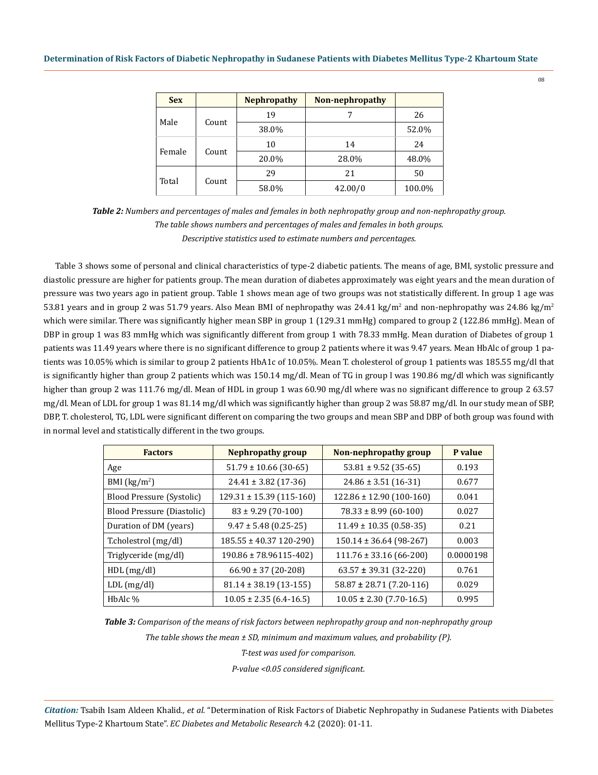| <b>Sex</b>      |               | <b>Nephropathy</b> | Non-nephropathy |        |
|-----------------|---------------|--------------------|-----------------|--------|
|                 |               | 19                 |                 | 26     |
|                 | Male<br>Count | 38.0%              |                 | 52.0%  |
|                 |               | 10                 | 14              | 24     |
| Female<br>Count | 20.0%         | 28.0%              | 48.0%           |        |
| Total<br>Count  | 29            | 21                 | 50              |        |
|                 |               | 58.0%              | 42.00/0         | 100.0% |

*Table 2: Numbers and percentages of males and females in both nephropathy group and non-nephropathy group. The table shows numbers and percentages of males and females in both groups. Descriptive statistics used to estimate numbers and percentages.*

Table 3 shows some of personal and clinical characteristics of type-2 diabetic patients. The means of age, BMI, systolic pressure and diastolic pressure are higher for patients group. The mean duration of diabetes approximately was eight years and the mean duration of pressure was two years ago in patient group. Table 1 shows mean age of two groups was not statistically different. In group 1 age was 53.81 years and in group 2 was 51.79 years. Also Mean BMI of nephropathy was  $24.41 \text{ kg/m}^2$  and non-nephropathy was  $24.86 \text{ kg/m}^2$ which were similar. There was significantly higher mean SBP in group 1 (129.31 mmHg) compared to group 2 (122.86 mmHg). Mean of DBP in group 1 was 83 mmHg which was significantly different from group 1 with 78.33 mmHg. Mean duration of Diabetes of group 1 patients was 11.49 years where there is no significant difference to group 2 patients where it was 9.47 years. Mean HbAlc of group 1 patients was 10.05% which is similar to group 2 patients HbA1c of 10.05%. Mean T. cholesterol of group 1 patients was 185.55 mg/dl that is significantly higher than group 2 patients which was 150.14 mg/dl. Mean of TG in group l was 190.86 mg/dl which was significantly higher than group 2 was 111.76 mg/dl. Mean of HDL in group 1 was 60.90 mg/dl where was no significant difference to group 2 63.57 mg/dl. Mean of LDL for group 1 was 81.14 mg/dl which was significantly higher than group 2 was 58.87 mg/dl. In our study mean of SBP, DBP, T. cholesterol, TG, LDL were significant different on comparing the two groups and mean SBP and DBP of both group was found with in normal level and statistically different in the two groups.

| <b>Factors</b>             | Nephropathy group            | Non-nephropathy group        | P value   |
|----------------------------|------------------------------|------------------------------|-----------|
| Age                        | $51.79 \pm 10.66$ (30-65)    | $53.81 \pm 9.52$ (35-65)     | 0.193     |
| BMI $(kg/m2)$              | $24.41 \pm 3.82$ (17-36)     | $24.86 \pm 3.51$ (16-31)     | 0.677     |
| Blood Pressure (Systolic)  | $129.31 \pm 15.39$ (115-160) | $122.86 \pm 12.90$ (100-160) | 0.041     |
| Blood Pressure (Diastolic) | $83 \pm 9.29$ (70-100)       | $78.33 \pm 8.99$ (60-100)    | 0.027     |
| Duration of DM (years)     | $9.47 \pm 5.48$ (0.25-25)    | $11.49 \pm 10.35$ (0.58-35)  | 0.21      |
| T.cholestrol (mg/dl)       | $185.55 \pm 40.37$ 120-290)  | $150.14 \pm 36.64$ (98-267)  | 0.003     |
| Triglyceride (mg/dl)       | $190.86 \pm 78.96115 - 402$  | $111.76 \pm 33.16$ (66-200)  | 0.0000198 |
| HDL(mg/dl)                 | $66.90 \pm 37$ (20-208)      | $63.57 \pm 39.31$ (32-220)   | 0.761     |
| $LDL$ (mg/dl)              | $81.14 \pm 38.19$ (13-155)   | $58.87 \pm 28.71$ (7.20-116) | 0.029     |
| HbAlc %                    | $10.05 \pm 2.35$ (6.4-16.5)  | $10.05 \pm 2.30$ (7.70-16.5) | 0.995     |

*Table 3: Comparison of the means of risk factors between nephropathy group and non-nephropathy group*

*The table shows the mean ± SD, minimum and maximum values, and probability (P).*

*T-test was used for comparison.*

*P-value <0.05 considered significant.*

*Citation:* Tsabih Isam Aldeen Khalid*., et al.* "Determination of Risk Factors of Diabetic Nephropathy in Sudanese Patients with Diabetes Mellitus Type-2 Khartoum State". *EC Diabetes and Metabolic Research* 4.2 (2020): 01-11.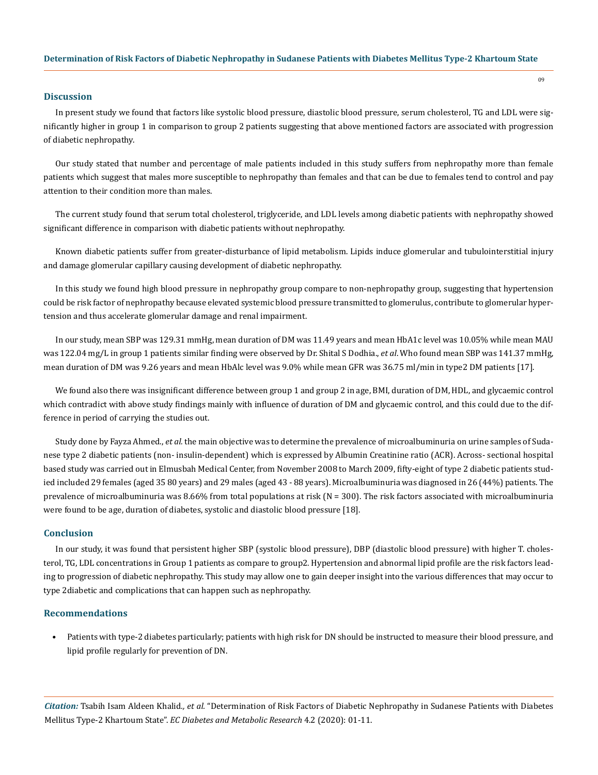# **Discussion**

In present study we found that factors like systolic blood pressure, diastolic blood pressure, serum cholesterol, TG and LDL were significantly higher in group 1 in comparison to group 2 patients suggesting that above mentioned factors are associated with progression of diabetic nephropathy.

Our study stated that number and percentage of male patients included in this study suffers from nephropathy more than female patients which suggest that males more susceptible to nephropathy than females and that can be due to females tend to control and pay attention to their condition more than males.

The current study found that serum total cholesterol, triglyceride, and LDL levels among diabetic patients with nephropathy showed significant difference in comparison with diabetic patients without nephropathy.

Known diabetic patients suffer from greater-disturbance of lipid metabolism. Lipids induce glomerular and tubulointerstitial injury and damage glomerular capillary causing development of diabetic nephropathy.

In this study we found high blood pressure in nephropathy group compare to non-nephropathy group, suggesting that hypertension could be risk factor of nephropathy because elevated systemic blood pressure transmitted to glomerulus, contribute to glomerular hypertension and thus accelerate glomerular damage and renal impairment.

In our study, mean SBP was 129.31 mmHg, mean duration of DM was 11.49 years and mean HbA1c level was 10.05% while mean MAU was 122.04 mg/L in group 1 patients similar finding were observed by Dr. Shital S Dodhia., *et al*. Who found mean SBP was 141.37 mmHg, mean duration of DM was 9.26 years and mean HbAlc level was 9.0% while mean GFR was 36.75 ml/min in type2 DM patients [17].

We found also there was insignificant difference between group 1 and group 2 in age, BMI, duration of DM, HDL, and glycaemic control which contradict with above study findings mainly with influence of duration of DM and glycaemic control, and this could due to the difference in period of carrying the studies out.

Study done by Fayza Ahmed., *et al.* the main objective was to determine the prevalence of microalbuminuria on urine samples of Sudanese type 2 diabetic patients (non- insulin-dependent) which is expressed by Albumin Creatinine ratio (ACR). Across- sectional hospital based study was carried out in Elmusbah Medical Center, from November 2008 to March 2009, fifty-eight of type 2 diabetic patients studied included 29 females (aged 35 80 years) and 29 males (aged 43 - 88 years). Microalbuminuria was diagnosed in 26 (44%) patients. The prevalence of microalbuminuria was 8.66% from total populations at risk (N = 300). The risk factors associated with microalbuminuria were found to be age, duration of diabetes, systolic and diastolic blood pressure [18].

#### **Conclusion**

In our study, it was found that persistent higher SBP (systolic blood pressure), DBP (diastolic blood pressure) with higher T. cholesterol, TG, LDL concentrations in Group 1 patients as compare to group2. Hypertension and abnormal lipid profile are the risk factors leading to progression of diabetic nephropathy. This study may allow one to gain deeper insight into the various differences that may occur to type 2diabetic and complications that can happen such as nephropathy.

# **Recommendations**

• Patients with type-2 diabetes particularly; patients with high risk for DN should be instructed to measure their blood pressure, and lipid profile regularly for prevention of DN.

*Citation:* Tsabih Isam Aldeen Khalid*., et al.* "Determination of Risk Factors of Diabetic Nephropathy in Sudanese Patients with Diabetes Mellitus Type-2 Khartoum State". *EC Diabetes and Metabolic Research* 4.2 (2020): 01-11.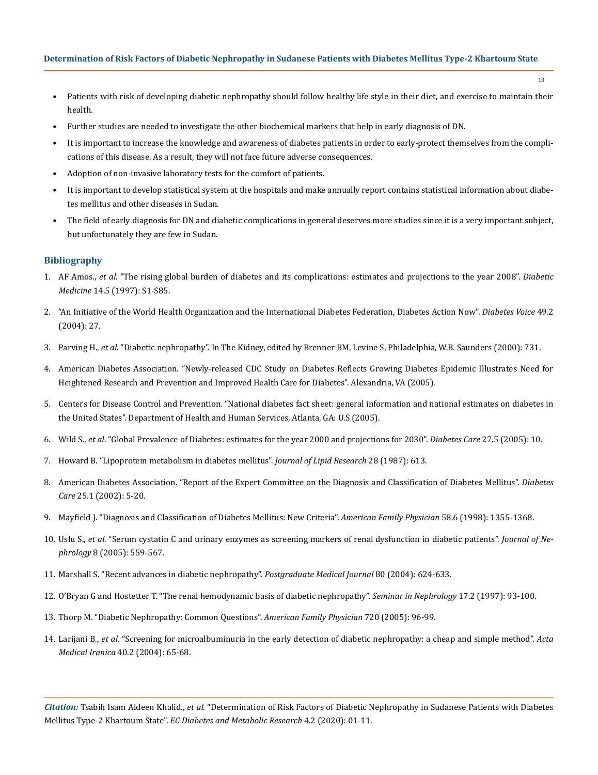- Patients with risk of developing diabetic nephropathy should follow healthy life style in their diet, and exercise to maintain their health.
- Further studies are needed to investigate the other biochemical markers that help in early diagnosis of DN.
- It is important to increase the knowledge and awareness of diabetes patients in order to early-protect themselves from the complications of this disease. As a result, they will not face future adverse consequences.
- Adoption of non-invasive laboratory tests for the comfort of patients.
- It is important to develop statistical system at the hospitals and make annually report contains statistical information about diabetes mellitus and other diseases in Sudan.
- The field of early diagnosis for DN and diabetic complications in general deserves more studies since it is a very important subject, but unfortunately they are few in Sudan.

# **Bibliography**

- 1. AF Amos., *et al*[. "The rising global burden of diabetes and its complications: estimates and projections to the year 2008".](https://www.ncbi.nlm.nih.gov/pubmed/9450510) *Diabetic Medicine* [14.5 \(1997\): S1-S85.](https://www.ncbi.nlm.nih.gov/pubmed/9450510)
- 2. ["An Initiative of the World Health Organization and the International Diabetes Federation, Diabetes Action Now".](https://apps.who.int/iris/handle/10665/42934) *Diabetes Voice* 49.2 [\(2004\): 27.](https://apps.who.int/iris/handle/10665/42934)
- 3. Parving H., *et al*. "Diabetic nephropathy". In The Kidney, edited by Brenner BM, Levine S, Philadelphia, W.B. Saunders (2000): 731.
- 4. [American Diabetes Association. "Newly-released CDC Study on Diabetes Reflects Growing Diabetes Epidemic Illustrates Need for](https://www.cdc.gov/media/releases/2017/p0718-diabetes-report.html)  [Heightened Research and Prevention and Improved Health Care for Diabetes". Alexandria, VA \(2005\).](https://www.cdc.gov/media/releases/2017/p0718-diabetes-report.html)
- 5. [Centers for Disease Control and Prevention. "National diabetes fact sheet: general information and national estimates on diabetes in](https://www.cdc.gov/diabetes/pdfs/data/statistics/national-diabetes-statistics-report.pdf)  [the United States". Department of Health and Human Services, Atlanta, GA: U.S \(2005\).](https://www.cdc.gov/diabetes/pdfs/data/statistics/national-diabetes-statistics-report.pdf)
- 6. Wild S., *et al*[. "Global Prevalence of Diabetes: estimates for the year 2000 and projections for 2030".](https://www.ncbi.nlm.nih.gov/pubmed/15111519) *Diabetes Care* 27.5 (2005): 10.
- 7. [Howard B. "Lipoprotein metabolism in diabetes mellitus".](https://www.ncbi.nlm.nih.gov/pubmed/3302085) *Journal of Lipid Research* 28 (1987): 613.
- 8. [American Diabetes Association. "Report of the Expert Committee on the Diagnosis and Classification of Diabetes Mellitus".](https://www.ncbi.nlm.nih.gov/pubmed/12502614) *Diabetes Care* [25.1 \(2002\): 5-20.](https://www.ncbi.nlm.nih.gov/pubmed/12502614)
- 9. [Mayfield J. "Diagnosis and Classification of Diabetes Mellitus: New Criteria".](https://www.ncbi.nlm.nih.gov/pubmed/9803200) *American Family Physician* 58.6 (1998): 1355-1368.
- 10. Uslu S., *et al*[. "Serum cystatin C and urinary enzymes as screening markers of renal dysfunction in diabetic patients".](https://www.ncbi.nlm.nih.gov/pubmed/16299682) *Journal of Nephrology* [8 \(2005\): 559-567.](https://www.ncbi.nlm.nih.gov/pubmed/16299682)
- 11. [Marshall S. "Recent advances in diabetic nephropathy".](https://pmj.bmj.com/content/80/949/624) *Postgraduate Medical Journal* 80 (2004): 624-633.
- 12. [O'Bryan G and Hostetter T. "The renal hemodynamic basis of diabetic nephropathy".](https://www.ncbi.nlm.nih.gov/pubmed/9148381) *Seminar in Nephrology* 17.2 (1997): 93-100.
- 13. [Thorp M. "Diabetic Nephropathy: Common Questions".](https://www.ncbi.nlm.nih.gov/pubmed/16035688) *American Family Physician* 720 (2005): 96-99.
- 14. Larijani B., *et al*[. "Screening for microalbuminuria in the early detection of diabetic nephropathy: a cheap and simple method".](https://www.researchgate.net/publication/237413912_Screening_for_Microalbuminuria_in_the_early_detection_of_diabetic_nephropathy_A_cheap_and_simple_method) *Acta Medical Iranica* [40.2 \(2004\): 65-68.](https://www.researchgate.net/publication/237413912_Screening_for_Microalbuminuria_in_the_early_detection_of_diabetic_nephropathy_A_cheap_and_simple_method)

*Citation:* Tsabih Isam Aldeen Khalid*., et al.* "Determination of Risk Factors of Diabetic Nephropathy in Sudanese Patients with Diabetes Mellitus Type-2 Khartoum State". *EC Diabetes and Metabolic Research* 4.2 (2020): 01-11.